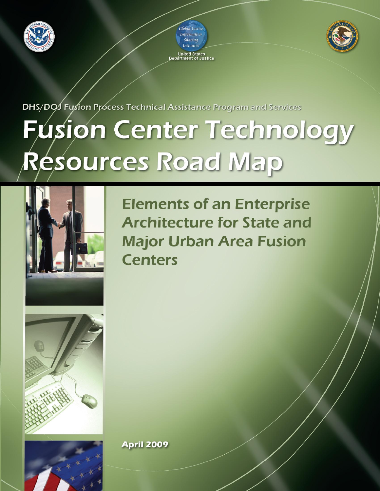





DHS/DOJ Fusion Process Technical Assistance Program and Services

# **Fúsion Center Technology Resources Road Map**







**Elements of an Enterprise Architecture for State and Major Urban Area Fusion Centers** 

**April 2009**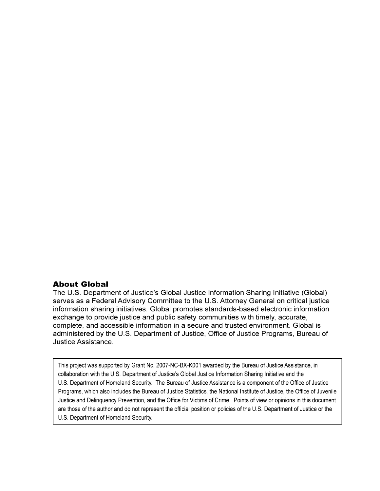#### **About Global**

The U.S. Department of Justice's Global Justice Information Sharing Initiative (Global) serves as a Federal Advisory Committee to the U.S. Attorney General on critical justice information sharing initiatives. Global promotes standards-based electronic information exchange to provide justice and public safety communities with timely, accurate, complete, and accessible information in a secure and trusted environment. Global is administered by the U.S. Department of Justice, Office of Justice Programs, Bureau of Justice Assistance.

This project was supported by Grant No. 2007-NC-BX-K001 awarded by the Bureau of Justice Assistance, in collaboration with the U.S. Department of Justice's Global Justice Information Sharing Initiative and the U.S. Department of Homeland Security. The Bureau of Justice Assistance is a component of the Office of Justice Programs, which also includes the Bureau of Justice Statistics, the National Institute of Justice, the Office of Juvenile Justice and Delinguency Prevention, and the Office for Victims of Crime. Points of view or opinions in this document are those of the author and do not represent the official position or policies of the U.S. Department of Justice or the U.S. Department of Homeland Security.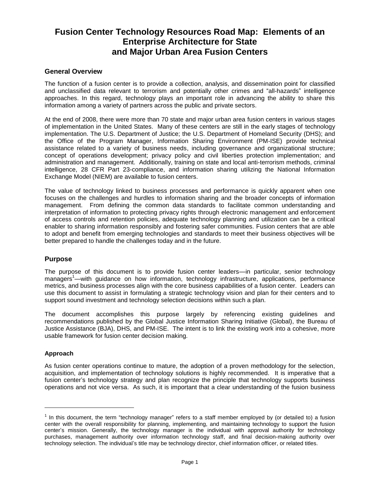### **Fusion Center Technology Resources Road Map: Elements of an Enterprise Architecture for State and Major Urban Area Fusion Centers**

#### **General Overview**

The function of a fusion center is to provide a collection, analysis, and dissemination point for classified and unclassified data relevant to terrorism and potentially other crimes and "all-hazards" intelligence approaches. In this regard, technology plays an important role in advancing the ability to share this information among a variety of partners across the public and private sectors.

At the end of 2008, there were more than 70 state and major urban area fusion centers in various stages of implementation in the United States. Many of these centers are still in the early stages of technology implementation. The U.S. Department of Justice; the U.S. Department of Homeland Security (DHS); and the Office of the Program Manager, Information Sharing Environment (PM-ISE) provide technical assistance related to a variety of business needs, including governance and organizational structure; concept of operations development; privacy policy and civil liberties protection implementation; and administration and management. Additionally, training on state and local anti-terrorism methods, criminal intelligence, 28 CFR Part 23-compliance, and information sharing utilizing the National Information Exchange Model (NIEM) are available to fusion centers.

The value of technology linked to business processes and performance is quickly apparent when one focuses on the challenges and hurdles to information sharing and the broader concepts of information management. From defining the common data standards to facilitate common understanding and interpretation of information to protecting privacy rights through electronic management and enforcement of access controls and retention policies, adequate technology planning and utilization can be a critical enabler to sharing information responsibly and fostering safer communities. Fusion centers that are able to adopt and benefit from emerging technologies and standards to meet their business objectives will be better prepared to handle the challenges today and in the future.

#### **Purpose**

The purpose of this document is to provide fusion center leaders—in particular, senior technology managers<sup>1</sup>—with guidance on how information, technology infrastructure, applications, performance metrics, and business processes align with the core business capabilities of a fusion center. Leaders can use this document to assist in formulating a strategic technology vision and plan for their centers and to support sound investment and technology selection decisions within such a plan.

The document accomplishes this purpose largely by referencing existing guidelines and recommendations published by the Global Justice Information Sharing Initiative (Global), the Bureau of Justice Assistance (BJA), DHS, and PM-ISE. The intent is to link the existing work into a cohesive, more usable framework for fusion center decision making.

#### **Approach**

l

As fusion center operations continue to mature, the adoption of a proven methodology for the selection, acquisition, and implementation of technology solutions is highly recommended. It is imperative that a fusion center's technology strategy and plan recognize the principle that technology supports business operations and not vice versa. As such, it is important that a clear understanding of the fusion business

 $1$  In this document, the term "technology manager" refers to a staff member employed by (or detailed to) a fusion center with the overall responsibility for planning, implementing, and maintaining technology to support the fusion center's mission. Generally, the technology manager is the individual with approval authority for technology purchases, management authority over information technology staff, and final decision-making authority over technology selection. The individual's title may be technology director, chief information officer, or related titles.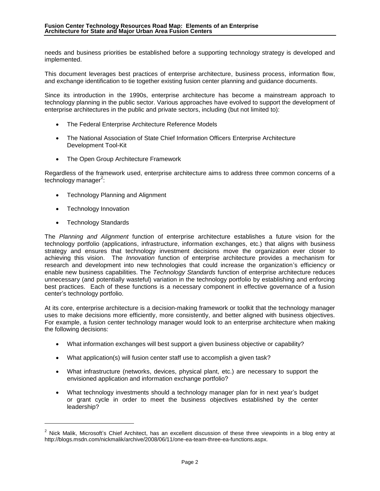needs and business priorities be established before a supporting technology strategy is developed and implemented.

This document leverages best practices of enterprise architecture, business process, information flow, and exchange identification to tie together existing fusion center planning and guidance documents.

Since its introduction in the 1990s, enterprise architecture has become a mainstream approach to technology planning in the public sector. Various approaches have evolved to support the development of enterprise architectures in the public and private sectors, including (but not limited to):

- The Federal Enterprise Architecture Reference Models
- The National Association of State Chief Information Officers Enterprise Architecture Development Tool-Kit
- The Open Group Architecture Framework

Regardless of the framework used, enterprise architecture aims to address three common concerns of a technology manager<sup>2</sup>:

- Technology Planning and Alignment
- Technology Innovation
- Technology Standards

l

The *Planning and Alignment* function of enterprise architecture establishes a future vision for the technology portfolio (applications, infrastructure, information exchanges, etc.) that aligns with business strategy and ensures that technology investment decisions move the organization ever closer to achieving this vision. The *Innovation* function of enterprise architecture provides a mechanism for research and development into new technologies that could increase the organization's efficiency or enable new business capabilities. The *Technology Standards* function of enterprise architecture reduces unnecessary (and potentially wasteful) variation in the technology portfolio by establishing and enforcing best practices. Each of these functions is a necessary component in effective governance of a fusion center's technology portfolio.

At its core, enterprise architecture is a decision-making framework or toolkit that the technology manager uses to make decisions more efficiently, more consistently, and better aligned with business objectives. For example, a fusion center technology manager would look to an enterprise architecture when making the following decisions:

- What information exchanges will best support a given business objective or capability?
- What application(s) will fusion center staff use to accomplish a given task?
- What infrastructure (networks, devices, physical plant, etc.) are necessary to support the envisioned application and information exchange portfolio?
- What technology investments should a technology manager plan for in next year's budget or grant cycle in order to meet the business objectives established by the center leadership?

 $2$  Nick Malik, Microsoft's Chief Architect, has an excellent discussion of these three viewpoints in a blog entry at http://blogs.msdn.com/nickmalik/archive/2008/06/11/one-ea-team-three-ea-functions.aspx.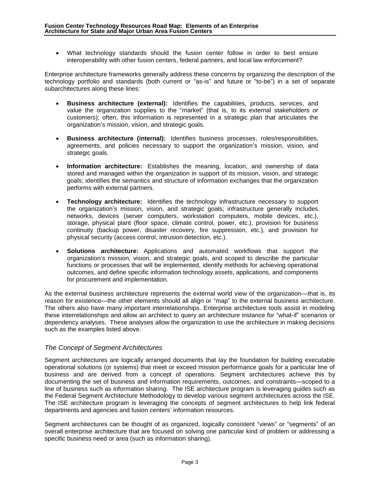What technology standards should the fusion center follow in order to best ensure interoperability with other fusion centers, federal partners, and local law enforcement?

Enterprise architecture frameworks generally address these concerns by organizing the description of the technology portfolio and standards (both current or "as-is" and future or "to-be") in a set of separate subarchitectures along these lines:

- **Business architecture (external):** Identifies the capabilities, products, services, and value the organization supplies to the "market" (that is, to its external stakeholders or customers); often, this information is represented in a strategic plan that articulates the organization's mission, vision, and strategic goals.
- **Business architecture (internal):** Identifies business processes, roles/responsibilities, agreements, and policies necessary to support the organization's mission, vision, and strategic goals.
- **Information architecture:** Establishes the meaning, location, and ownership of data stored and managed within the organization in support of its mission, vision, and strategic goals; identifies the semantics and structure of information exchanges that the organization performs with external partners.
- **Technology architecture:** Identifies the technology infrastructure necessary to support the organization's mission, vision, and strategic goals; infrastructure generally includes networks, devices (server computers, workstation computers, mobile devices, etc.), storage, physical plant (floor space, climate control, power, etc.), provision for business continuity (backup power, disaster recovery, fire suppression, etc.), and provision for physical security (access control, intrusion detection, etc.).
- **Solutions architecture:** Applications and automated workflows that support the organization's mission, vision, and strategic goals, and scoped to describe the particular functions or processes that will be implemented, identify methods for achieving operational outcomes, and define specific information technology assets, applications, and components for procurement and implementation.

As the external business architecture represents the external world view of the organization—that is, its reason for existence—the other elements should all align or "map" to the external business architecture. The others also have many important interrelationships. Enterprise architecture tools assist in modeling these interrelationships and allow an architect to query an architecture instance for "what-if" scenarios or dependency analyses. These analyses allow the organization to use the architecture in making decisions such as the examples listed above.

#### *The Concept of Segment Architectures*

Segment architectures are logically arranged documents that lay the foundation for building executable operational solutions (or systems) that meet or exceed mission performance goals for a particular line of business and are derived from a concept of operations. Segment architectures achieve this by documenting the set of business and information requirements, outcomes, and constraints—scoped to a line of business such as information sharing. The ISE architecture program is leveraging guides such as the Federal Segment Architecture Methodology to develop various segment architectures across the ISE. The ISE architecture program is leveraging the concepts of segment architectures to help link federal departments and agencies and fusion centers' information resources.

Segment architectures can be thought of as organized, logically consistent "views" or "segments" of an overall enterprise architecture that are focused on solving one particular kind of problem or addressing a specific business need or area (such as information sharing).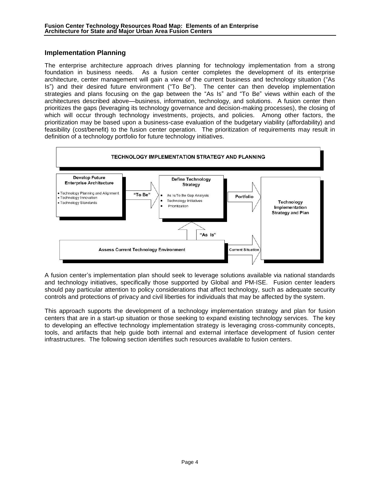#### **Implementation Planning**

The enterprise architecture approach drives planning for technology implementation from a strong foundation in business needs. As a fusion center completes the development of its enterprise architecture, center management will gain a view of the current business and technology situation ("As Is") and their desired future environment ("To Be"). The center can then develop implementation strategies and plans focusing on the gap between the "As Is" and "To Be" views within each of the architectures described above—business, information, technology, and solutions. A fusion center then prioritizes the gaps (leveraging its technology governance and decision-making processes), the closing of which will occur through technology investments, projects, and policies. Among other factors, the prioritization may be based upon a business-case evaluation of the budgetary viability (affordability) and feasibility (cost/benefit) to the fusion center operation. The prioritization of requirements may result in definition of a technology portfolio for future technology initiatives.



A fusion center's implementation plan should seek to leverage solutions available via national standards and technology initiatives, specifically those supported by Global and PM-ISE. Fusion center leaders should pay particular attention to policy considerations that affect technology, such as adequate security controls and protections of privacy and civil liberties for individuals that may be affected by the system.

This approach supports the development of a technology implementation strategy and plan for fusion centers that are in a start-up situation or those seeking to expand existing technology services. The key to developing an effective technology implementation strategy is leveraging cross-community concepts, tools, and artifacts that help guide both internal and external interface development of fusion center infrastructures. The following section identifies such resources available to fusion centers.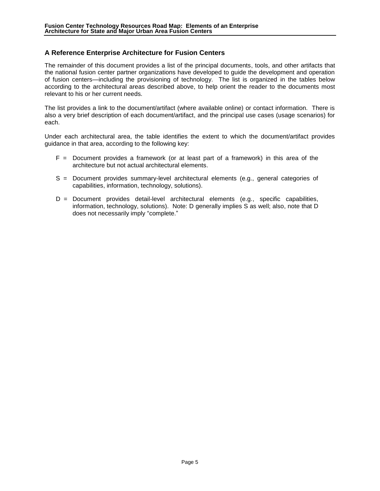#### **A Reference Enterprise Architecture for Fusion Centers**

The remainder of this document provides a list of the principal documents, tools, and other artifacts that the national fusion center partner organizations have developed to guide the development and operation of fusion centers—including the provisioning of technology. The list is organized in the tables below according to the architectural areas described above, to help orient the reader to the documents most relevant to his or her current needs.

The list provides a link to the document/artifact (where available online) or contact information. There is also a very brief description of each document/artifact, and the principal use cases (usage scenarios) for each.

Under each architectural area, the table identifies the extent to which the document/artifact provides guidance in that area, according to the following key:

- $F =$  Document provides a framework (or at least part of a framework) in this area of the architecture but not actual architectural elements.
- S = Document provides summary-level architectural elements (e.g., general categories of capabilities, information, technology, solutions).
- D = Document provides detail-level architectural elements (e.g., specific capabilities, information, technology, solutions). Note: D generally implies S as well; also, note that D does not necessarily imply "complete."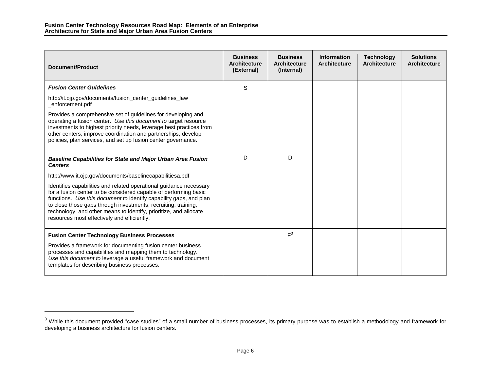l

| <b>Document/Product</b>                                                                                                                                                                                                                                                                                                                                                                            | <b>Business</b><br><b>Architecture</b><br>(External) | <b>Business</b><br><b>Architecture</b><br>(Internal) | <b>Information</b><br><b>Architecture</b> | <b>Technology</b><br><b>Architecture</b> | <b>Solutions</b><br><b>Architecture</b> |
|----------------------------------------------------------------------------------------------------------------------------------------------------------------------------------------------------------------------------------------------------------------------------------------------------------------------------------------------------------------------------------------------------|------------------------------------------------------|------------------------------------------------------|-------------------------------------------|------------------------------------------|-----------------------------------------|
| <b>Fusion Center Guidelines</b>                                                                                                                                                                                                                                                                                                                                                                    | S                                                    |                                                      |                                           |                                          |                                         |
| http://it.ojp.gov/documents/fusion_center_guidelines_law<br>enforcement.pdf                                                                                                                                                                                                                                                                                                                        |                                                      |                                                      |                                           |                                          |                                         |
| Provides a comprehensive set of guidelines for developing and<br>operating a fusion center. Use this document to target resource<br>investments to highest priority needs, leverage best practices from<br>other centers, improve coordination and partnerships, develop<br>policies, plan services, and set up fusion center governance.                                                          |                                                      |                                                      |                                           |                                          |                                         |
| <b>Baseline Capabilities for State and Major Urban Area Fusion</b><br><b>Centers</b>                                                                                                                                                                                                                                                                                                               | D                                                    | D                                                    |                                           |                                          |                                         |
| http://www.it.ojp.gov/documents/baselinecapabilitiesa.pdf                                                                                                                                                                                                                                                                                                                                          |                                                      |                                                      |                                           |                                          |                                         |
| Identifies capabilities and related operational guidance necessary<br>for a fusion center to be considered capable of performing basic<br>functions. Use this document to identify capability gaps, and plan<br>to close those gaps through investments, recruiting, training,<br>technology, and other means to identify, prioritize, and allocate<br>resources most effectively and efficiently. |                                                      |                                                      |                                           |                                          |                                         |
| <b>Fusion Center Technology Business Processes</b>                                                                                                                                                                                                                                                                                                                                                 |                                                      | $F^3$                                                |                                           |                                          |                                         |
| Provides a framework for documenting fusion center business<br>processes and capabilities and mapping them to technology.<br>Use this document to leverage a useful framework and document<br>templates for describing business processes.                                                                                                                                                         |                                                      |                                                      |                                           |                                          |                                         |

<sup>&</sup>lt;sup>3</sup> While this document provided "case studies" of a small number of business processes, its primary purpose was to establish a methodology and framework for developing a business architecture for fusion centers.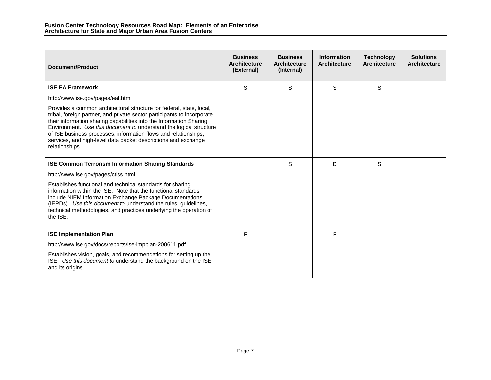| Document/Product                                                                                                                                                                                                                                                                                                                                                                                                                                    | <b>Business</b><br><b>Architecture</b><br>(External) | <b>Business</b><br><b>Architecture</b><br>(Internal) | <b>Information</b><br><b>Architecture</b> | <b>Technology</b><br><b>Architecture</b> | <b>Solutions</b><br><b>Architecture</b> |
|-----------------------------------------------------------------------------------------------------------------------------------------------------------------------------------------------------------------------------------------------------------------------------------------------------------------------------------------------------------------------------------------------------------------------------------------------------|------------------------------------------------------|------------------------------------------------------|-------------------------------------------|------------------------------------------|-----------------------------------------|
| <b>ISE EA Framework</b>                                                                                                                                                                                                                                                                                                                                                                                                                             | S                                                    | S                                                    | S                                         | S                                        |                                         |
| http://www.ise.gov/pages/eaf.html                                                                                                                                                                                                                                                                                                                                                                                                                   |                                                      |                                                      |                                           |                                          |                                         |
| Provides a common architectural structure for federal, state, local,<br>tribal, foreign partner, and private sector participants to incorporate<br>their information sharing capabilities into the Information Sharing<br>Environment. Use this document to understand the logical structure<br>of ISE business processes, information flows and relationships,<br>services, and high-level data packet descriptions and exchange<br>relationships. |                                                      |                                                      |                                           |                                          |                                         |
| <b>ISE Common Terrorism Information Sharing Standards</b>                                                                                                                                                                                                                                                                                                                                                                                           |                                                      | S                                                    | D                                         | S                                        |                                         |
| http://www.ise.gov/pages/ctiss.html                                                                                                                                                                                                                                                                                                                                                                                                                 |                                                      |                                                      |                                           |                                          |                                         |
| Establishes functional and technical standards for sharing<br>information within the ISE. Note that the functional standards<br>include NIEM Information Exchange Package Documentations<br>(IEPDs). Use this document to understand the rules, guidelines,<br>technical methodologies, and practices underlying the operation of<br>the ISE.                                                                                                       |                                                      |                                                      |                                           |                                          |                                         |
| <b>ISE Implementation Plan</b>                                                                                                                                                                                                                                                                                                                                                                                                                      | F                                                    |                                                      | F                                         |                                          |                                         |
| http://www.ise.gov/docs/reports/ise-impplan-200611.pdf                                                                                                                                                                                                                                                                                                                                                                                              |                                                      |                                                      |                                           |                                          |                                         |
| Establishes vision, goals, and recommendations for setting up the<br>ISE. Use this document to understand the background on the ISE<br>and its origins.                                                                                                                                                                                                                                                                                             |                                                      |                                                      |                                           |                                          |                                         |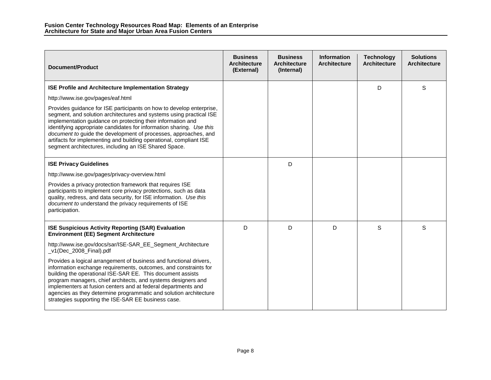| <b>Document/Product</b>                                                                                                                                                                                                                                                                                                                                                                                                                                                              | <b>Business</b><br><b>Architecture</b><br>(External) | <b>Business</b><br><b>Architecture</b><br>(Internal) | <b>Information</b><br><b>Architecture</b> | <b>Technology</b><br><b>Architecture</b> | <b>Solutions</b><br><b>Architecture</b> |
|--------------------------------------------------------------------------------------------------------------------------------------------------------------------------------------------------------------------------------------------------------------------------------------------------------------------------------------------------------------------------------------------------------------------------------------------------------------------------------------|------------------------------------------------------|------------------------------------------------------|-------------------------------------------|------------------------------------------|-----------------------------------------|
| <b>ISE Profile and Architecture Implementation Strategy</b>                                                                                                                                                                                                                                                                                                                                                                                                                          |                                                      |                                                      |                                           | D                                        | S                                       |
| http://www.ise.gov/pages/eaf.html                                                                                                                                                                                                                                                                                                                                                                                                                                                    |                                                      |                                                      |                                           |                                          |                                         |
| Provides guidance for ISE participants on how to develop enterprise,<br>segment, and solution architectures and systems using practical ISE<br>implementation guidance on protecting their information and<br>identifying appropriate candidates for information sharing. Use this<br>document to guide the development of processes, approaches, and<br>artifacts for implementing and building operational, compliant ISE<br>segment architectures, including an ISE Shared Space. |                                                      |                                                      |                                           |                                          |                                         |
| <b>ISE Privacy Guidelines</b>                                                                                                                                                                                                                                                                                                                                                                                                                                                        |                                                      | D                                                    |                                           |                                          |                                         |
| http://www.ise.gov/pages/privacy-overview.html                                                                                                                                                                                                                                                                                                                                                                                                                                       |                                                      |                                                      |                                           |                                          |                                         |
| Provides a privacy protection framework that requires ISE<br>participants to implement core privacy protections, such as data<br>quality, redress, and data security, for ISE information. Use this<br>document to understand the privacy requirements of ISE<br>participation.                                                                                                                                                                                                      |                                                      |                                                      |                                           |                                          |                                         |
| <b>ISE Suspicious Activity Reporting (SAR) Evaluation</b><br><b>Environment (EE) Segment Architecture</b>                                                                                                                                                                                                                                                                                                                                                                            | D                                                    | D                                                    | D                                         | S                                        | S                                       |
| http://www.ise.gov/docs/sar/ISE-SAR_EE_Segment_Architecture<br>_v1(Dec_2008_Final).pdf                                                                                                                                                                                                                                                                                                                                                                                               |                                                      |                                                      |                                           |                                          |                                         |
| Provides a logical arrangement of business and functional drivers,<br>information exchange requirements, outcomes, and constraints for<br>building the operational ISE-SAR EE. This document assists<br>program managers, chief architects, and systems designers and<br>implementers at fusion centers and at federal departments and<br>agencies as they determine programmatic and solution architecture<br>strategies supporting the ISE-SAR EE business case.                   |                                                      |                                                      |                                           |                                          |                                         |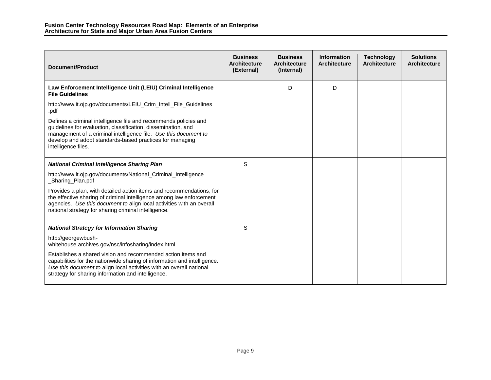| <b>Document/Product</b>                                                                                                                                                                                                                                                                  | <b>Business</b><br><b>Architecture</b><br>(External) | <b>Business</b><br><b>Architecture</b><br>(Internal) | Information<br><b>Architecture</b> | <b>Technology</b><br><b>Architecture</b> | <b>Solutions</b><br><b>Architecture</b> |
|------------------------------------------------------------------------------------------------------------------------------------------------------------------------------------------------------------------------------------------------------------------------------------------|------------------------------------------------------|------------------------------------------------------|------------------------------------|------------------------------------------|-----------------------------------------|
| Law Enforcement Intelligence Unit (LEIU) Criminal Intelligence<br><b>File Guidelines</b>                                                                                                                                                                                                 |                                                      | D                                                    | D                                  |                                          |                                         |
| http://www.it.ojp.gov/documents/LEIU_Crim_Intell_File_Guidelines<br>.pdf                                                                                                                                                                                                                 |                                                      |                                                      |                                    |                                          |                                         |
| Defines a criminal intelligence file and recommends policies and<br>guidelines for evaluation, classification, dissemination, and<br>management of a criminal intelligence file. Use this document to<br>develop and adopt standards-based practices for managing<br>intelligence files. |                                                      |                                                      |                                    |                                          |                                         |
| <b>National Criminal Intelligence Sharing Plan</b>                                                                                                                                                                                                                                       | S                                                    |                                                      |                                    |                                          |                                         |
| http://www.it.ojp.gov/documents/National_Criminal_Intelligence<br>_Sharing_Plan.pdf                                                                                                                                                                                                      |                                                      |                                                      |                                    |                                          |                                         |
| Provides a plan, with detailed action items and recommendations, for<br>the effective sharing of criminal intelligence among law enforcement<br>agencies. Use this document to align local activities with an overall<br>national strategy for sharing criminal intelligence.            |                                                      |                                                      |                                    |                                          |                                         |
| <b>National Strategy for Information Sharing</b>                                                                                                                                                                                                                                         | S                                                    |                                                      |                                    |                                          |                                         |
| http://georgewbush-<br>whitehouse.archives.gov/nsc/infosharing/index.html                                                                                                                                                                                                                |                                                      |                                                      |                                    |                                          |                                         |
| Establishes a shared vision and recommended action items and<br>capabilities for the nationwide sharing of information and intelligence.<br>Use this document to align local activities with an overall national<br>strategy for sharing information and intelligence.                   |                                                      |                                                      |                                    |                                          |                                         |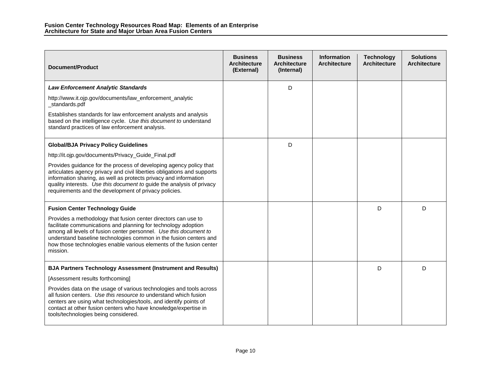| <b>Document/Product</b>                                                                                                                                                                                                                                                                                                                                       | <b>Business</b><br><b>Architecture</b><br>(External) | <b>Business</b><br><b>Architecture</b><br>(Internal) | <b>Information</b><br><b>Architecture</b> | <b>Technology</b><br><b>Architecture</b> | <b>Solutions</b><br><b>Architecture</b> |
|---------------------------------------------------------------------------------------------------------------------------------------------------------------------------------------------------------------------------------------------------------------------------------------------------------------------------------------------------------------|------------------------------------------------------|------------------------------------------------------|-------------------------------------------|------------------------------------------|-----------------------------------------|
| <b>Law Enforcement Analytic Standards</b>                                                                                                                                                                                                                                                                                                                     |                                                      | D                                                    |                                           |                                          |                                         |
| http://www.it.ojp.gov/documents/law_enforcement_analytic<br>_standards.pdf                                                                                                                                                                                                                                                                                    |                                                      |                                                      |                                           |                                          |                                         |
| Establishes standards for law enforcement analysts and analysis<br>based on the intelligence cycle. Use this document to understand<br>standard practices of law enforcement analysis.                                                                                                                                                                        |                                                      |                                                      |                                           |                                          |                                         |
| <b>Global/BJA Privacy Policy Guidelines</b>                                                                                                                                                                                                                                                                                                                   |                                                      | D                                                    |                                           |                                          |                                         |
| http://it.ojp.gov/documents/Privacy_Guide_Final.pdf                                                                                                                                                                                                                                                                                                           |                                                      |                                                      |                                           |                                          |                                         |
| Provides guidance for the process of developing agency policy that<br>articulates agency privacy and civil liberties obligations and supports<br>information sharing, as well as protects privacy and information<br>quality interests. Use this document to guide the analysis of privacy<br>requirements and the development of privacy policies.           |                                                      |                                                      |                                           |                                          |                                         |
| <b>Fusion Center Technology Guide</b>                                                                                                                                                                                                                                                                                                                         |                                                      |                                                      |                                           | D                                        | D                                       |
| Provides a methodology that fusion center directors can use to<br>facilitate communications and planning for technology adoption<br>among all levels of fusion center personnel. Use this document to<br>understand baseline technologies common in the fusion centers and<br>how those technologies enable various elements of the fusion center<br>mission. |                                                      |                                                      |                                           |                                          |                                         |
| <b>BJA Partners Technology Assessment (Instrument and Results)</b>                                                                                                                                                                                                                                                                                            |                                                      |                                                      |                                           | D                                        | D                                       |
| [Assessment results forthcoming]                                                                                                                                                                                                                                                                                                                              |                                                      |                                                      |                                           |                                          |                                         |
| Provides data on the usage of various technologies and tools across<br>all fusion centers. Use this resource to understand which fusion<br>centers are using what technologies/tools, and identify points of<br>contact at other fusion centers who have knowledge/expertise in<br>tools/technologies being considered.                                       |                                                      |                                                      |                                           |                                          |                                         |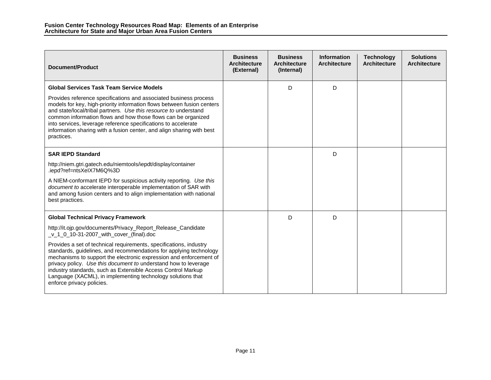| <b>Document/Product</b>                                                                                                                                                                                                                                                                                                                                                                                                                       | <b>Business</b><br><b>Architecture</b><br>(External) | <b>Business</b><br><b>Architecture</b><br>(Internal) | <b>Information</b><br><b>Architecture</b> | <b>Technology</b><br><b>Architecture</b> | <b>Solutions</b><br><b>Architecture</b> |
|-----------------------------------------------------------------------------------------------------------------------------------------------------------------------------------------------------------------------------------------------------------------------------------------------------------------------------------------------------------------------------------------------------------------------------------------------|------------------------------------------------------|------------------------------------------------------|-------------------------------------------|------------------------------------------|-----------------------------------------|
| <b>Global Services Task Team Service Models</b>                                                                                                                                                                                                                                                                                                                                                                                               |                                                      | D                                                    | D                                         |                                          |                                         |
| Provides reference specifications and associated business process<br>models for key, high-priority information flows between fusion centers<br>and state/local/tribal partners. Use this resource to understand<br>common information flows and how those flows can be organized<br>into services, leverage reference specifications to accelerate<br>information sharing with a fusion center, and align sharing with best<br>practices.     |                                                      |                                                      |                                           |                                          |                                         |
| <b>SAR IEPD Standard</b>                                                                                                                                                                                                                                                                                                                                                                                                                      |                                                      |                                                      | D                                         |                                          |                                         |
| http://niem.gtri.gatech.edu/niemtools/iepdt/display/container<br>.iepd?ref=ntsXeIX7M6Q%3D                                                                                                                                                                                                                                                                                                                                                     |                                                      |                                                      |                                           |                                          |                                         |
| A NIEM-conformant IEPD for suspicious activity reporting. Use this<br>document to accelerate interoperable implementation of SAR with<br>and among fusion centers and to align implementation with national<br>best practices.                                                                                                                                                                                                                |                                                      |                                                      |                                           |                                          |                                         |
| <b>Global Technical Privacy Framework</b>                                                                                                                                                                                                                                                                                                                                                                                                     |                                                      | D                                                    | D                                         |                                          |                                         |
| http://it.ojp.gov/documents/Privacy_Report_Release_Candidate<br>_v_1_0_10-31-2007_with_cover_(final).doc                                                                                                                                                                                                                                                                                                                                      |                                                      |                                                      |                                           |                                          |                                         |
| Provides a set of technical requirements, specifications, industry<br>standards, guidelines, and recommendations for applying technology<br>mechanisms to support the electronic expression and enforcement of<br>privacy policy. Use this document to understand how to leverage<br>industry standards, such as Extensible Access Control Markup<br>Language (XACML), in implementing technology solutions that<br>enforce privacy policies. |                                                      |                                                      |                                           |                                          |                                         |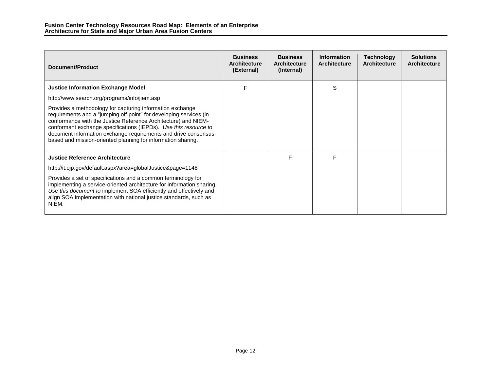| Document/Product                                                                                                                                                                                                                                                                                                                                                                                         | <b>Business</b><br>Architecture<br>(External) | <b>Business</b><br><b>Architecture</b><br>(Internal) | <b>Information</b><br><b>Architecture</b> | <b>Technology</b><br><b>Architecture</b> | <b>Solutions</b><br><b>Architecture</b> |
|----------------------------------------------------------------------------------------------------------------------------------------------------------------------------------------------------------------------------------------------------------------------------------------------------------------------------------------------------------------------------------------------------------|-----------------------------------------------|------------------------------------------------------|-------------------------------------------|------------------------------------------|-----------------------------------------|
| <b>Justice Information Exchange Model</b>                                                                                                                                                                                                                                                                                                                                                                | F                                             |                                                      | S                                         |                                          |                                         |
| http://www.search.org/programs/info/jiem.asp                                                                                                                                                                                                                                                                                                                                                             |                                               |                                                      |                                           |                                          |                                         |
| Provides a methodology for capturing information exchange<br>requirements and a "jumping off point" for developing services (in<br>conformance with the Justice Reference Architecture) and NIEM-<br>conformant exchange specifications (IEPDs). Use this resource to<br>document information exchange requirements and drive consensus-<br>based and mission-oriented planning for information sharing. |                                               |                                                      |                                           |                                          |                                         |
| <b>Justice Reference Architecture</b>                                                                                                                                                                                                                                                                                                                                                                    |                                               | F                                                    | F                                         |                                          |                                         |
| http://it.ojp.gov/default.aspx?area=globalJustice&page=1148                                                                                                                                                                                                                                                                                                                                              |                                               |                                                      |                                           |                                          |                                         |
| Provides a set of specifications and a common terminology for<br>implementing a service-oriented architecture for information sharing.<br>Use this document to implement SOA efficiently and effectively and<br>align SOA implementation with national justice standards, such as<br>NIEM.                                                                                                               |                                               |                                                      |                                           |                                          |                                         |